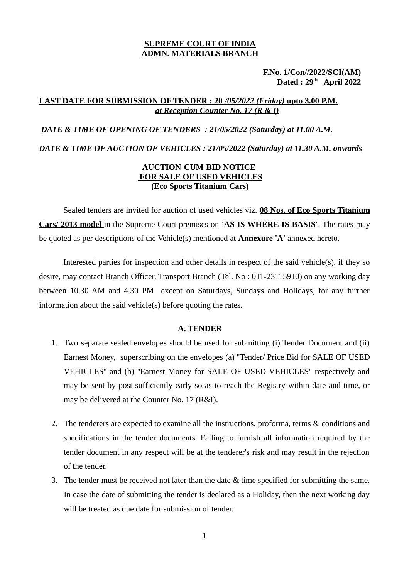## **SUPREME COURT OF INDIA ADMN. MATERIALS BRANCH**

 **F.No. 1/Con//2022/SCI(AM) Dated : 29th April 2022**

## **LAST DATE FOR SUBMISSION OF TENDER : 20** */05/2022 (Friday)* **upto 3.00 P.M.** *at Reception Counter No. 17 (R & I)*

### *DATE & TIME OF OPENING OF TENDERS : 21/05/2022 (Saturday) at 11.00 A.M.*

 *DATE & TIME OF AUCTION OF VEHICLES : 21 /05/2022 (Saturday) at 11.30 A.M. onwards*

# **AUCTION-CUM-BID NOTICE FOR SALE OF USED VEHICLES (Eco Sports Titanium Cars)**

Sealed tenders are invited for auction of used vehicles viz. **08 Nos. of Eco Sports Titanium Cars/ 2013 model** in the Supreme Court premises on **'AS IS WHERE IS BASIS'**. The rates may be quoted as per descriptions of the Vehicle(s) mentioned at **Annexure 'A'** annexed hereto.

Interested parties for inspection and other details in respect of the said vehicle(s), if they so desire, may contact Branch Officer, Transport Branch (Tel. No : 011-23115910) on any working day between 10.30 AM and 4.30 PM except on Saturdays, Sundays and Holidays, for any further information about the said vehicle(s) before quoting the rates.

## **A. TENDER**

- 1. Two separate sealed envelopes should be used for submitting (i) Tender Document and (ii) Earnest Money, superscribing on the envelopes (a) ''Tender/ Price Bid for SALE OF USED VEHICLES'' and (b) ''Earnest Money for SALE OF USED VEHICLES'' respectively and may be sent by post sufficiently early so as to reach the Registry within date and time, or may be delivered at the Counter No. 17 (R&I).
- 2. The tenderers are expected to examine all the instructions, proforma, terms & conditions and specifications in the tender documents. Failing to furnish all information required by the tender document in any respect will be at the tenderer's risk and may result in the rejection of the tender.
- 3. The tender must be received not later than the date & time specified for submitting the same. In case the date of submitting the tender is declared as a Holiday, then the next working day will be treated as due date for submission of tender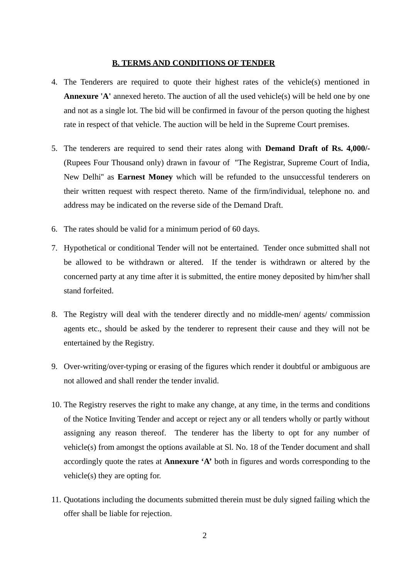#### **B. TERMS AND CONDITIONS OF TENDER**

- 4. The Tenderers are required to quote their highest rates of the vehicle(s) mentioned in **Annexure 'A'** annexed hereto. The auction of all the used vehicle(s) will be held one by one and not as a single lot. The bid will be confirmed in favour of the person quoting the highest rate in respect of that vehicle. The auction will be held in the Supreme Court premises.
- 5. The tenderers are required to send their rates along with **Demand Draft of Rs. 4,000/-** (Rupees Four Thousand only) drawn in favour of ''The Registrar, Supreme Court of India, New Delhi'' as **Earnest Money** which will be refunded to the unsuccessful tenderers on their written request with respect thereto. Name of the firm/individual, telephone no. and address may be indicated on the reverse side of the Demand Draft.
- 6. The rates should be valid for a minimum period of 60 days.
- 7. Hypothetical or conditional Tender will not be entertained. Tender once submitted shall not be allowed to be withdrawn or altered. If the tender is withdrawn or altered by the concerned party at any time after it is submitted, the entire money deposited by him/her shall stand forfeited.
- 8. The Registry will deal with the tenderer directly and no middle-men/ agents/ commission agents etc., should be asked by the tenderer to represent their cause and they will not be entertained by the Registry.
- 9. Over-writing/over-typing or erasing of the figures which render it doubtful or ambiguous are not allowed and shall render the tender invalid.
- 10. The Registry reserves the right to make any change, at any time, in the terms and conditions of the Notice Inviting Tender and accept or reject any or all tenders wholly or partly without assigning any reason thereof. The tenderer has the liberty to opt for any number of vehicle(s) from amongst the options available at Sl. No. 18 of the Tender document and shall accordingly quote the rates at **Annexure 'A'** both in figures and words corresponding to the vehicle(s) they are opting for.
- 11. Quotations including the documents submitted therein must be duly signed failing which the offer shall be liable for rejection.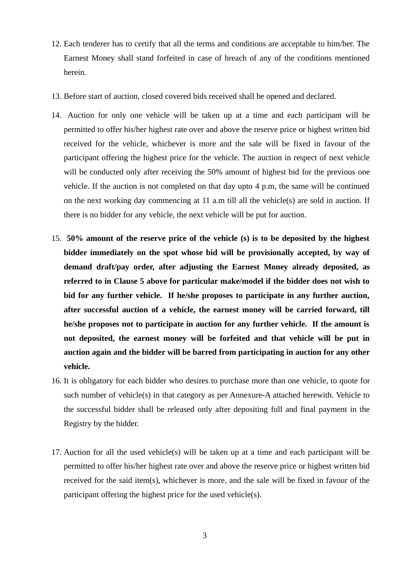- 12. Each tenderer has to certify that all the terms and conditions are acceptable to him/her. The Earnest Money shall stand forfeited in case of breach of any of the conditions mentioned herein.
- 13. Before start of auction, closed covered bids received shall be opened and declared.
- 14. Auction for only one vehicle will be taken up at a time and each participant will be permitted to offer his/her highest rate over and above the reserve price or highest written bid received for the vehicle, whichever is more and the sale will be fixed in favour of the participant offering the highest price for the vehicle. The auction in respect of next vehicle will be conducted only after receiving the 50% amount of highest bid for the previous one vehicle. If the auction is not completed on that day upto 4 p.m, the same will be continued on the next working day commencing at 11 a.m till all the vehicle(s) are sold in auction. If there is no bidder for any vehicle, the next vehicle will be put for auction.
- 15. **50% amount of the reserve price of the vehicle (s) is to be deposited by the highest bidder immediately on the spot whose bid will be provisionally accepted, by way of demand draft/pay order, after adjusting the Earnest Money already deposited, as referred to in Clause 5 above for particular make/model if the bidder does not wish to bid for any further vehicle. If he/she proposes to participate in any further auction, after successful auction of a vehicle, the earnest money will be carried forward, till he/she proposes not to participate in auction for any further vehicle. If the amount is not deposited, the earnest money will be forfeited and that vehicle will be put in auction again and the bidder will be barred from participating in auction for any other vehicle.**
- 16. It is obligatory for each bidder who desires to purchase more than one vehicle, to quote for such number of vehicle(s) in that category as per Annexure-A attached herewith. Vehicle to the successful bidder shall be released only after depositing full and final payment in the Registry by the bidder.
- 17. Auction for all the used vehicle(s) will be taken up at a time and each participant will be permitted to offer his/her highest rate over and above the reserve price or highest written bid received for the said item(s), whichever is more, and the sale will be fixed in favour of the participant offering the highest price for the used vehicle(s).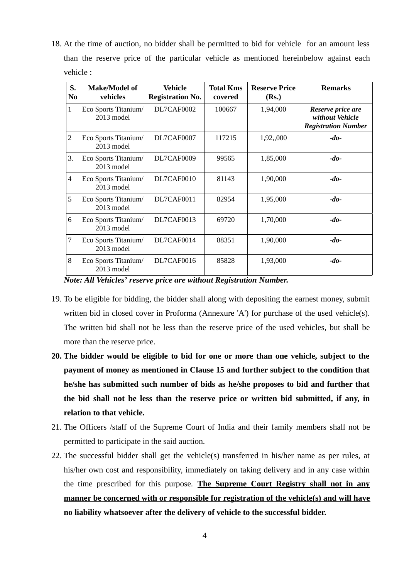18. At the time of auction, no bidder shall be permitted to bid for vehicle for an amount less than the reserve price of the particular vehicle as mentioned hereinbelow against each vehicle :

| S.<br>N <sub>0</sub> | <b>Make/Model of</b><br>vehicles             | Vehicle<br><b>Registration No.</b> | <b>Total Kms</b><br>covered | <b>Reserve Price</b><br>(Rs.) | <b>Remarks</b>                                                     |
|----------------------|----------------------------------------------|------------------------------------|-----------------------------|-------------------------------|--------------------------------------------------------------------|
| $\mathbf{1}$         | Eco Sports Titanium/<br>2013 model           | DL7CAF0002                         | 100667                      | 1,94,000                      | Reserve price are<br>without Vehicle<br><b>Registration Number</b> |
| $\overline{2}$       | Eco Sports Titanium/<br>2013 model           | DL7CAF0007                         | 117215                      | 1,92,,000                     | $-do-$                                                             |
| 3.                   | Eco Sports Titanium/<br>$2013 \text{ model}$ | DL7CAF0009                         | 99565                       | 1,85,000                      | $-do-$                                                             |
| $\overline{4}$       | Eco Sports Titanium/<br>2013 model           | DL7CAF0010                         | 81143                       | 1,90,000                      | $-do-$                                                             |
| 5                    | Eco Sports Titanium/<br>2013 model           | DL7CAF0011                         | 82954                       | 1,95,000                      | $-do-$                                                             |
| 6                    | Eco Sports Titanium/<br>2013 model           | DL7CAF0013                         | 69720                       | 1,70,000                      | $-do-$                                                             |
| 7                    | Eco Sports Titanium/<br>2013 model           | DL7CAF0014                         | 88351                       | 1,90,000                      | $-do-$                                                             |
| 8                    | Eco Sports Titanium/<br>2013 model           | DL7CAF0016                         | 85828                       | 1,93,000                      | $-do-$                                                             |

*Note: All Vehicles' reserve price are without Registration Number.* 

- 19. To be eligible for bidding, the bidder shall along with depositing the earnest money, submit written bid in closed cover in Proforma (Annexure 'A') for purchase of the used vehicle(s). The written bid shall not be less than the reserve price of the used vehicles, but shall be more than the reserve price.
- **20. The bidder would be eligible to bid for one or more than one vehicle, subject to the payment of money as mentioned in Clause 15 and further subject to the condition that he/she has submitted such number of bids as he/she proposes to bid and further that the bid shall not be less than the reserve price or written bid submitted, if any, in relation to that vehicle.**
- 21. The Officers /staff of the Supreme Court of India and their family members shall not be permitted to participate in the said auction.
- 22. The successful bidder shall get the vehicle(s) transferred in his/her name as per rules, at his/her own cost and responsibility, immediately on taking delivery and in any case within the time prescribed for this purpose. **The Supreme Court Registry shall not in any manner be concerned with or responsible for registration of the vehicle(s) and will have no liability whatsoever after the delivery of vehicle to the successful bidder.**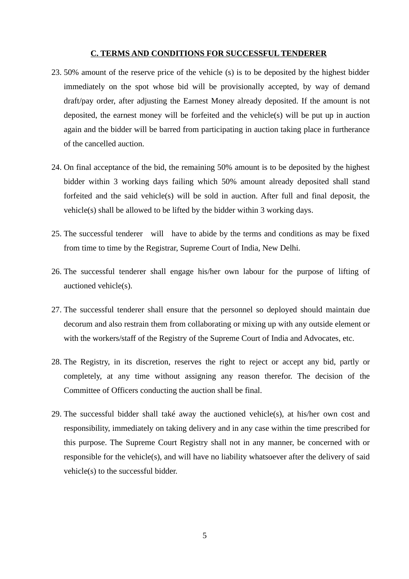#### **C. TERMS AND CONDITIONS FOR SUCCESSFUL TENDERER**

- 23. 50% amount of the reserve price of the vehicle (s) is to be deposited by the highest bidder immediately on the spot whose bid will be provisionally accepted, by way of demand draft/pay order, after adjusting the Earnest Money already deposited. If the amount is not deposited, the earnest money will be forfeited and the vehicle(s) will be put up in auction again and the bidder will be barred from participating in auction taking place in furtherance of the cancelled auction.
- 24. On final acceptance of the bid, the remaining 50% amount is to be deposited by the highest bidder within 3 working days failing which 50% amount already deposited shall stand forfeited and the said vehicle(s) will be sold in auction. After full and final deposit, the vehicle(s) shall be allowed to be lifted by the bidder within 3 working days.
- 25. The successful tenderer will have to abide by the terms and conditions as may be fixed from time to time by the Registrar, Supreme Court of India, New Delhi.
- 26. The successful tenderer shall engage his/her own labour for the purpose of lifting of auctioned vehicle(s).
- 27. The successful tenderer shall ensure that the personnel so deployed should maintain due decorum and also restrain them from collaborating or mixing up with any outside element or with the workers/staff of the Registry of the Supreme Court of India and Advocates, etc.
- 28. The Registry, in its discretion, reserves the right to reject or accept any bid, partly or completely, at any time without assigning any reason therefor. The decision of the Committee of Officers conducting the auction shall be final.
- 29. The successful bidder shall také away the auctioned vehicle(s), at his/her own cost and responsibility, immediately on taking delivery and in any case within the time prescribed for this purpose. The Supreme Court Registry shall not in any manner, be concerned with or responsible for the vehicle(s), and will have no liability whatsoever after the delivery of said vehicle(s) to the successful bidder.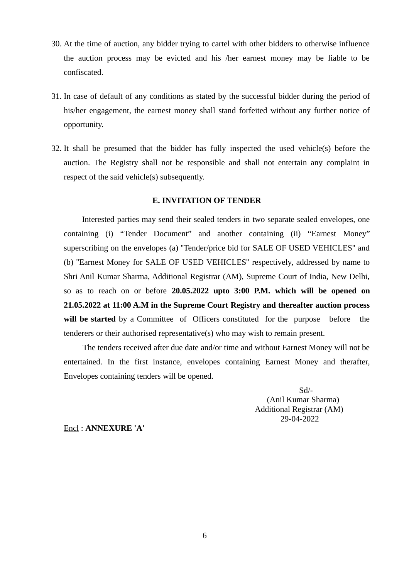- 30. At the time of auction, any bidder trying to cartel with other bidders to otherwise influence the auction process may be evicted and his /her earnest money may be liable to be confiscated.
- 31. In case of default of any conditions as stated by the successful bidder during the period of his/her engagement, the earnest money shall stand forfeited without any further notice of opportunity.
- 32. It shall be presumed that the bidder has fully inspected the used vehicle(s) before the auction. The Registry shall not be responsible and shall not entertain any complaint in respect of the said vehicle(s) subsequently.

### **E. INVITATION OF TENDER**

 Interested parties may send their sealed tenders in two separate sealed envelopes, one containing (i) "Tender Document" and another containing (ii) "Earnest Money" superscribing on the envelopes (a) ''Tender/price bid for SALE OF USED VEHICLES'' and (b) ''Earnest Money for SALE OF USED VEHICLES'' respectively, addressed by name to Shri Anil Kumar Sharma, Additional Registrar (AM), Supreme Court of India, New Delhi, so as to reach on or before **20.05.2022 upto 3:00 P.M. which will be opened on 21.05.2022 at 11:00 A.M in the Supreme Court Registry and thereafter auction process will be started** by a Committee of Officers constituted for the purpose before the tenderers or their authorised representative(s) who may wish to remain present.

 The tenders received after due date and/or time and without Earnest Money will not be entertained. In the first instance, envelopes containing Earnest Money and therafter, Envelopes containing tenders will be opened.

> Sd/- (Anil Kumar Sharma) Additional Registrar (AM) 29-04-2022

Encl : **ANNEXURE 'A'**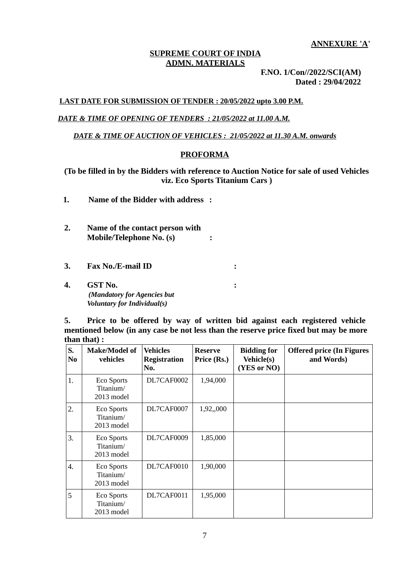**ANNEXURE 'A'**

## **SUPREME COURT OF INDIA ADMN. MATERIALS**

 **F.NO. 1/Con//2022/SCI(AM) Dated : 29/04/2022**

## **LAST DATE FOR SUBMISSION OF TENDER : 20/05/2022 upto 3.00 P.M.**

# *DATE & TIME OF OPENING OF TENDERS : 21/05/2022 at 11.00 A.M.*

### *DATE & TIME OF AUCTION OF VEHICLES : 21/05/2022 at 11.30 A.M. onwards*

### **PROFORMA**

**(To be filled in by the Bidders with reference to Auction Notice for sale of used Vehicles viz. Eco Sports Titanium Cars )**

- **1. Name of the Bidder with address :**
- **2. Name of the contact person with Mobile/Telephone No. (s) :**
- **3. Fax No./E-mail ID :**
- **4. GST No. :** *(Mandatory for Agencies but Voluntary for Individual(s)*

**5. Price to be offered by way of written bid against each registered vehicle mentioned below (in any case be not less than the reserve price fixed but may be more than that) :**

| S.<br>N <sub>0</sub> | <b>Make/Model of</b><br>vehicles             | <b>Vehicles</b><br><b>Registration</b><br>No. | <b>Reserve</b><br>Price (Rs.) | <b>Bidding for</b><br><b>Vehicle(s)</b><br>(YES or NO) | <b>Offered price (In Figures</b><br>and Words) |
|----------------------|----------------------------------------------|-----------------------------------------------|-------------------------------|--------------------------------------------------------|------------------------------------------------|
| 1.                   | <b>Eco Sports</b><br>Titanium/<br>2013 model | DL7CAF0002                                    | 1,94,000                      |                                                        |                                                |
| 2.                   | <b>Eco Sports</b><br>Titanium/<br>2013 model | DL7CAF0007                                    | 1,92,,000                     |                                                        |                                                |
| 3.                   | <b>Eco Sports</b><br>Titanium/<br>2013 model | DL7CAF0009                                    | 1,85,000                      |                                                        |                                                |
| 4.                   | <b>Eco Sports</b><br>Titanium/<br>2013 model | DL7CAF0010                                    | 1,90,000                      |                                                        |                                                |
| 5                    | <b>Eco Sports</b><br>Titanium/<br>2013 model | DL7CAF0011                                    | 1,95,000                      |                                                        |                                                |